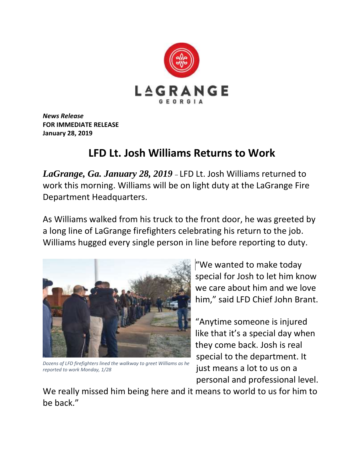

*News Release* **FOR IMMEDIATE RELEASE January 28, 2019**

## **LFD Lt. Josh Williams Returns to Work**

*LaGrange, Ga. January 28, 2019* – LFD Lt. Josh Williams returned to work this morning. Williams will be on light duty at the LaGrange Fire Department Headquarters.

As Williams walked from his truck to the front door, he was greeted by a long line of LaGrange firefighters celebrating his return to the job. Williams hugged every single person in line before reporting to duty.



*Dozens of LFD firefighters lined the walkway to greet Williams as he reported to work Monday, 1/28*

"We wanted to make today special for Josh to let him know we care about him and we love him," said LFD Chief John Brant.

"Anytime someone is injured like that it's a special day when they come back. Josh is real special to the department. It just means a lot to us on a personal and professional level.

We really missed him being here and it means to world to us for him to be back."